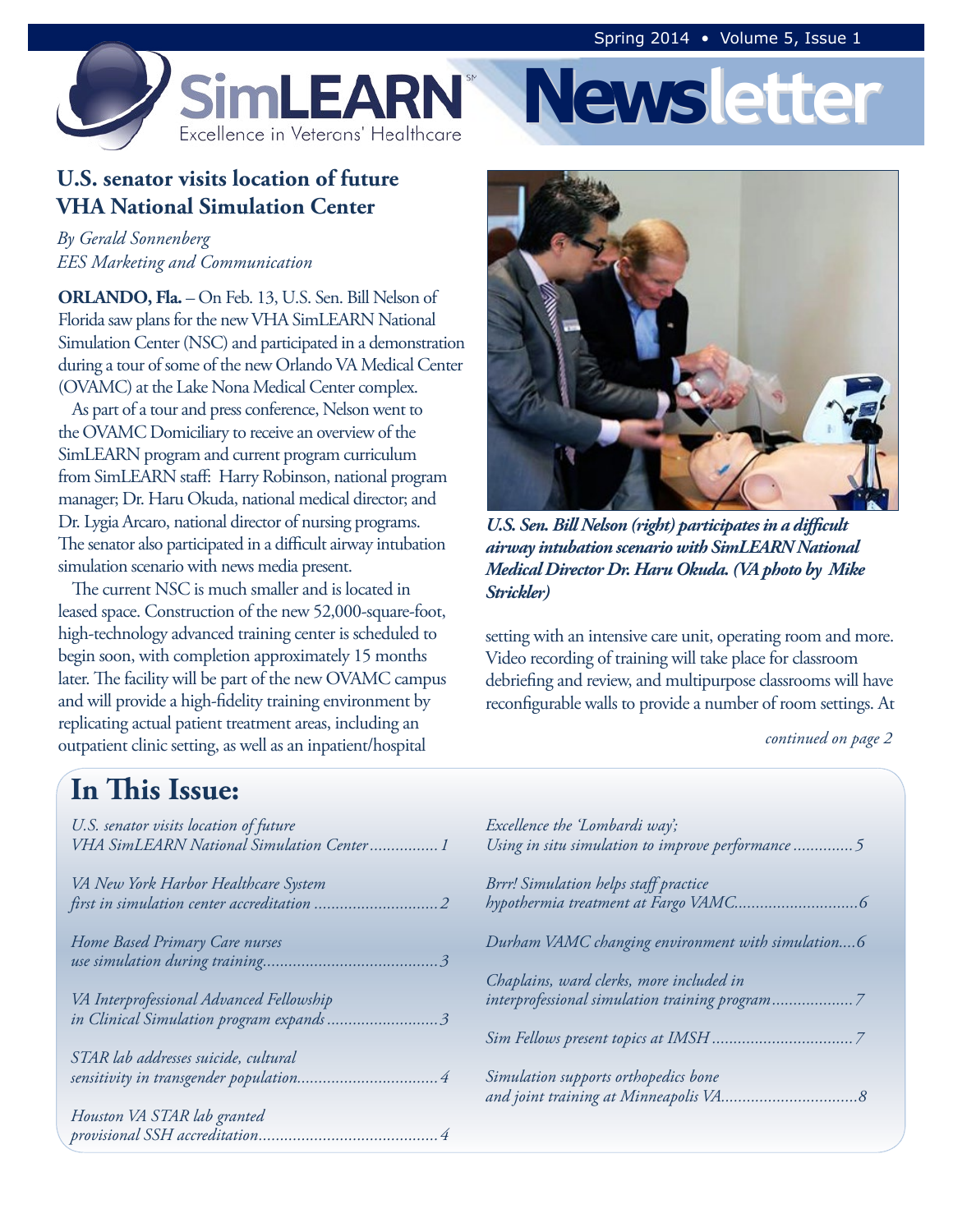**Newsletter**



#### **U.S. senator visits location of future VHA National Simulation Center**

*By Gerald Sonnenberg EES Marketing and Communication*

**ORLANDO, Fla.** – On Feb. 13, U.S. Sen. Bill Nelson of Florida saw plans for the new VHA SimLEARN National Simulation Center (NSC) and participated in a demonstration during a tour of some of the new Orlando VA Medical Center (OVAMC) at the Lake Nona Medical Center complex.

As part of a tour and press conference, Nelson went to the OVAMC Domiciliary to receive an overview of the SimLEARN program and current program curriculum from SimLEARN staff: Harry Robinson, national program manager; Dr. Haru Okuda, national medical director; and Dr. Lygia Arcaro, national director of nursing programs. The senator also participated in a difficult airway intubation simulation scenario with news media present.

The current NSC is much smaller and is located in leased space. Construction of the new 52,000-square-foot, high-technology advanced training center is scheduled to begin soon, with completion approximately 15 months later. The facility will be part of the new OVAMC campus and will provide a high-fidelity training environment by replicating actual patient treatment areas, including an outpatient clinic setting, as well as an inpatient/hospital



*U.S. Sen. Bill Nelson (right) participates in a difficult airway intubation scenario with SimLEARN National Medical Director Dr. Haru Okuda. (VA photo by Mike Strickler)*

setting with an intensive care unit, operating room and more. Video recording of training will take place for classroom debriefing and review, and multipurpose classrooms will have reconfigurable walls to provide a number of room settings. At

*continued on page 2*

# **In This Issue:**

| U.S. senator visits location of future<br>VHA SimLEARN National Simulation Center 1 |
|-------------------------------------------------------------------------------------|
| VA New York Harbor Healthcare System                                                |
| Home Based Primary Care nurses                                                      |
| VA Interprofessional Advanced Fellowship<br>in Clinical Simulation program expands3 |
| STAR lab addresses suicide, cultural                                                |
| Houston VA STAR lab granted                                                         |

| Excellence the 'Lombardi way';<br>Using in situ simulation to improve performance5 |
|------------------------------------------------------------------------------------|
| Brrr! Simulation helps staff practice                                              |
| Durham VAMC changing environment with simulation6                                  |
| Chaplains, ward clerks, more included in                                           |
|                                                                                    |
| Simulation supports orthopedics bone                                               |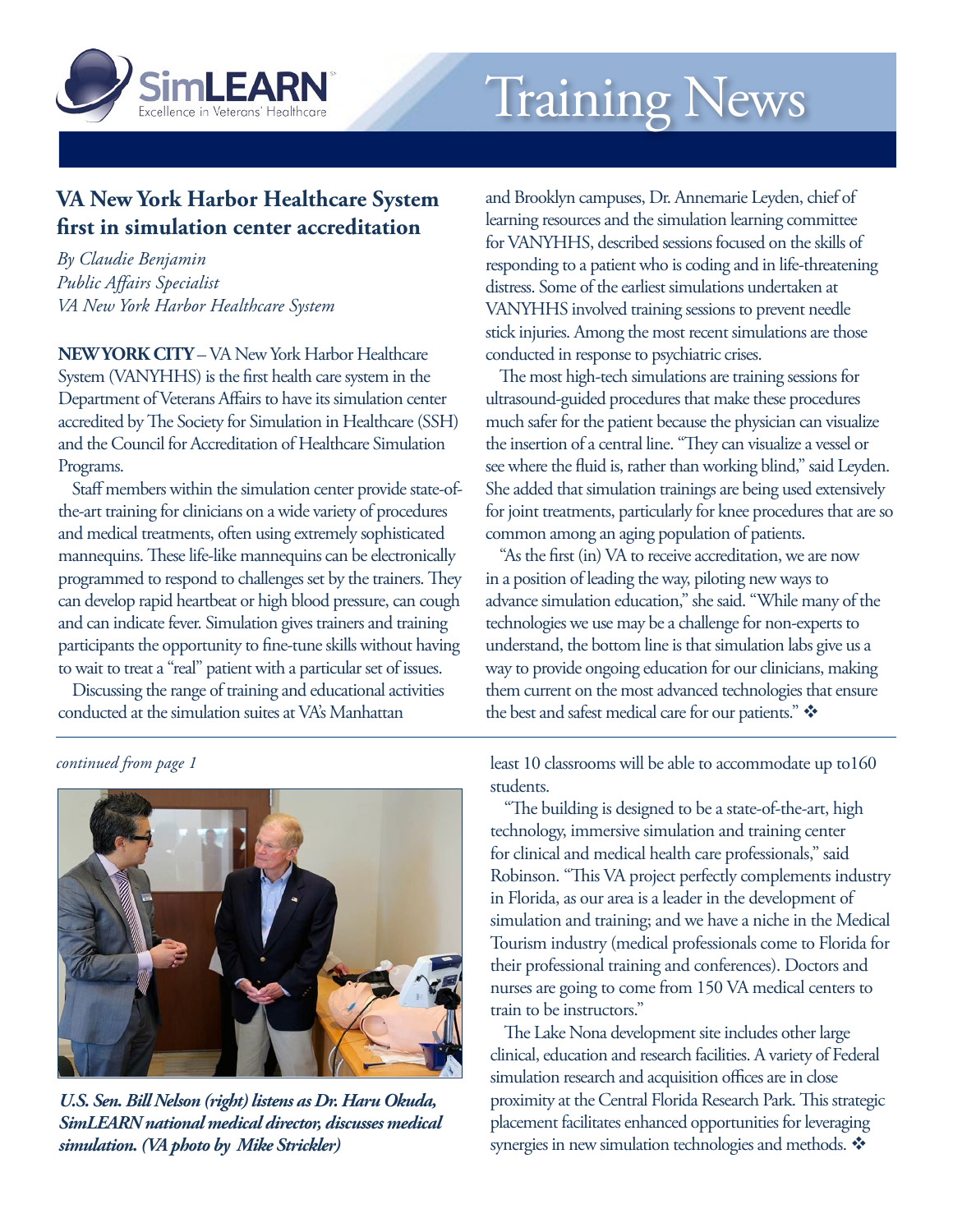<span id="page-1-0"></span>

# Training News

#### **VA New York Harbor Healthcare System first in simulation center accreditation**

*By Claudie Benjamin Public Affairs Specialist VA New York Harbor Healthcare System*

**NEW YORK CITY** – VA New York Harbor Healthcare System (VANYHHS) is the first health care system in the Department of Veterans Affairs to have its simulation center accredited by The Society for Simulation in Healthcare (SSH) and the Council for Accreditation of Healthcare Simulation Programs.

Staff members within the simulation center provide state-ofthe-art training for clinicians on a wide variety of procedures and medical treatments, often using extremely sophisticated mannequins. These life-like mannequins can be electronically programmed to respond to challenges set by the trainers. They can develop rapid heartbeat or high blood pressure, can cough and can indicate fever. Simulation gives trainers and training participants the opportunity to fine-tune skills without having to wait to treat a "real" patient with a particular set of issues.

Discussing the range of training and educational activities conducted at the simulation suites at VA's Manhattan

and Brooklyn campuses, Dr. Annemarie Leyden, chief of learning resources and the simulation learning committee for VANYHHS, described sessions focused on the skills of responding to a patient who is coding and in life-threatening distress. Some of the earliest simulations undertaken at VANYHHS involved training sessions to prevent needle stick injuries. Among the most recent simulations are those conducted in response to psychiatric crises.

The most high-tech simulations are training sessions for ultrasound-guided procedures that make these procedures much safer for the patient because the physician can visualize the insertion of a central line. "They can visualize a vessel or see where the fluid is, rather than working blind," said Leyden. She added that simulation trainings are being used extensively for joint treatments, particularly for knee procedures that are so common among an aging population of patients.

"As the first (in) VA to receive accreditation, we are now in a position of leading the way, piloting new ways to advance simulation education," she said. "While many of the technologies we use may be a challenge for non-experts to understand, the bottom line is that simulation labs give us a way to provide ongoing education for our clinicians, making them current on the most advanced technologies that ensure the best and safest medical care for our patients."

*continued from page 1*



*U.S. Sen. Bill Nelson (right) listens as Dr. Haru Okuda, SimLEARN national medical director, discusses medical simulation. (VA photo by Mike Strickler)*

least 10 classrooms will be able to accommodate up to160 students.

"The building is designed to be a state-of-the-art, high technology, immersive simulation and training center for clinical and medical health care professionals," said Robinson. "This VA project perfectly complements industry in Florida, as our area is a leader in the development of simulation and training; and we have a niche in the Medical Tourism industry (medical professionals come to Florida for their professional training and conferences). Doctors and nurses are going to come from 150 VA medical centers to train to be instructors."

The Lake Nona development site includes other large clinical, education and research facilities. A variety of Federal simulation research and acquisition offices are in close proximity at the Central Florida Research Park. This strategic placement facilitates enhanced opportunities for leveraging synergies in new simulation technologies and methods.  $\mathbf{\hat{*}}$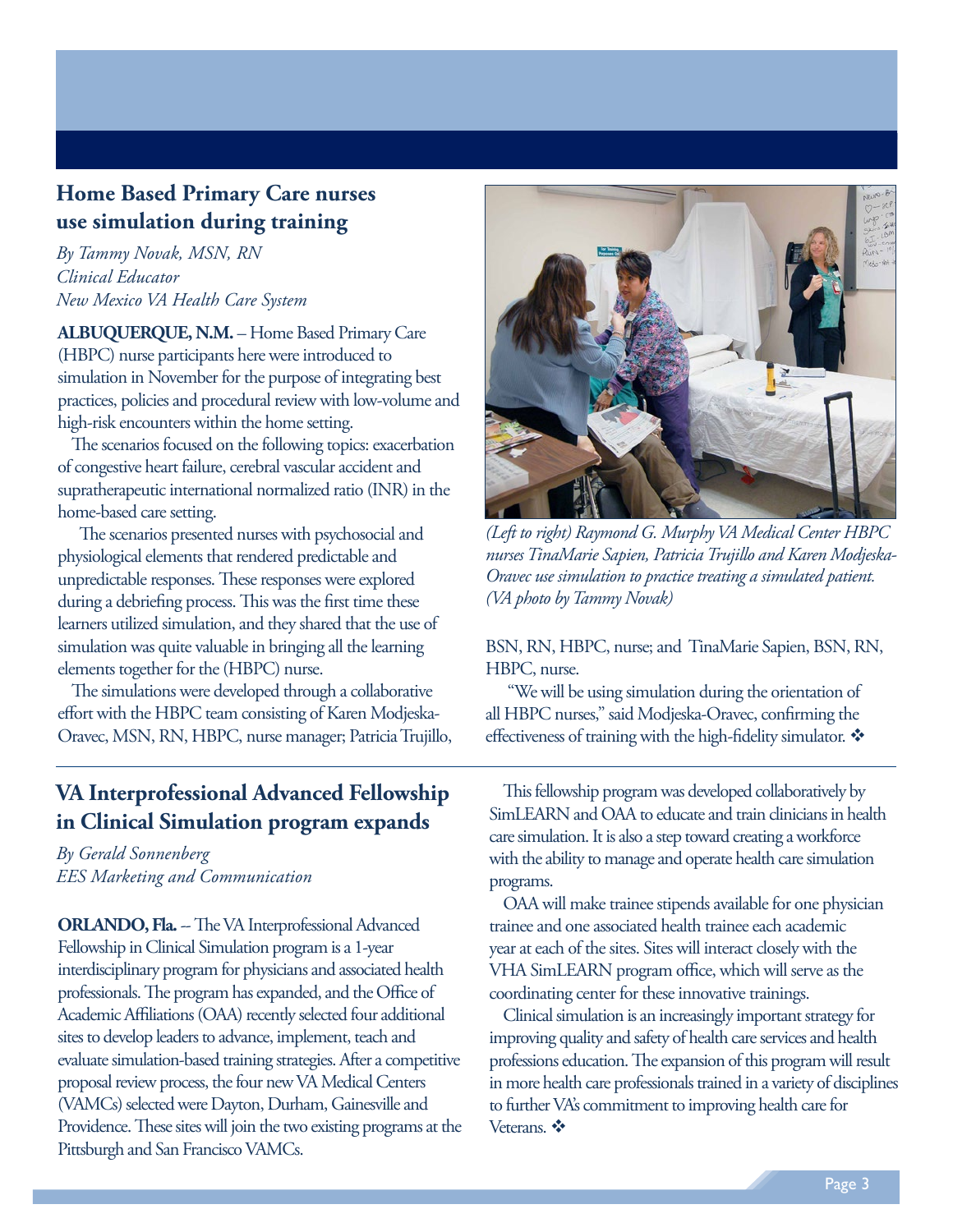#### <span id="page-2-0"></span>**Home Based Primary Care nurses use simulation during training**

*By Tammy Novak, MSN, RN Clinical Educator New Mexico VA Health Care System*

**ALBUQUERQUE, N.M.** – Home Based Primary Care (HBPC) nurse participants here were introduced to simulation in November for the purpose of integrating best practices, policies and procedural review with low-volume and high-risk encounters within the home setting.

The scenarios focused on the following topics: exacerbation of congestive heart failure, cerebral vascular accident and supratherapeutic international normalized ratio (INR) in the home-based care setting.

 The scenarios presented nurses with psychosocial and physiological elements that rendered predictable and unpredictable responses. These responses were explored during a debriefing process. This was the first time these learners utilized simulation, and they shared that the use of simulation was quite valuable in bringing all the learning elements together for the (HBPC) nurse.

The simulations were developed through a collaborative effort with the HBPC team consisting of Karen Modjeska-Oravec, MSN, RN, HBPC, nurse manager; Patricia Trujillo,

#### **VA Interprofessional Advanced Fellowship in Clinical Simulation program expands**

*By Gerald Sonnenberg EES Marketing and Communication*

**ORLANDO, Fla.** -- The VA Interprofessional Advanced Fellowship in Clinical Simulation program is a 1-year interdisciplinary program for physicians and associated health professionals. The program has expanded, and the Office of Academic Affiliations (OAA) recently selected four additional sites to develop leaders to advance, implement, teach and evaluate simulation-based training strategies. After a competitive proposal review process, the four new VA Medical Centers (VAMCs) selected were Dayton, Durham, Gainesville and Providence. These sites will join the two existing programs at the Pittsburgh and San Francisco VAMCs.



*(Left to right) Raymond G. Murphy VA Medical Center HBPC nurses TinaMarie Sapien, Patricia Trujillo and Karen Modjeska-Oravec use simulation to practice treating a simulated patient. (VA photo by Tammy Novak)*

BSN, RN, HBPC, nurse; and TinaMarie Sapien, BSN, RN, HBPC, nurse.

 "We will be using simulation during the orientation of all HBPC nurses," said Modjeska-Oravec, confirming the effectiveness of training with the high-fidelity simulator.  $\clubsuit$ 

This fellowship program was developed collaboratively by SimLEARN and OAA to educate and train clinicians in health care simulation. It is also a step toward creating a workforce with the ability to manage and operate health care simulation programs.

OAA will make trainee stipends available for one physician trainee and one associated health trainee each academic year at each of the sites. Sites will interact closely with the VHA SimLEARN program office, which will serve as the coordinating center for these innovative trainings.

Clinical simulation is an increasingly important strategy for improving quality and safety of health care services and health professions education. The expansion of this program will result in more health care professionals trained in a variety of disciplines to further VA's commitment to improving health care for Veterans.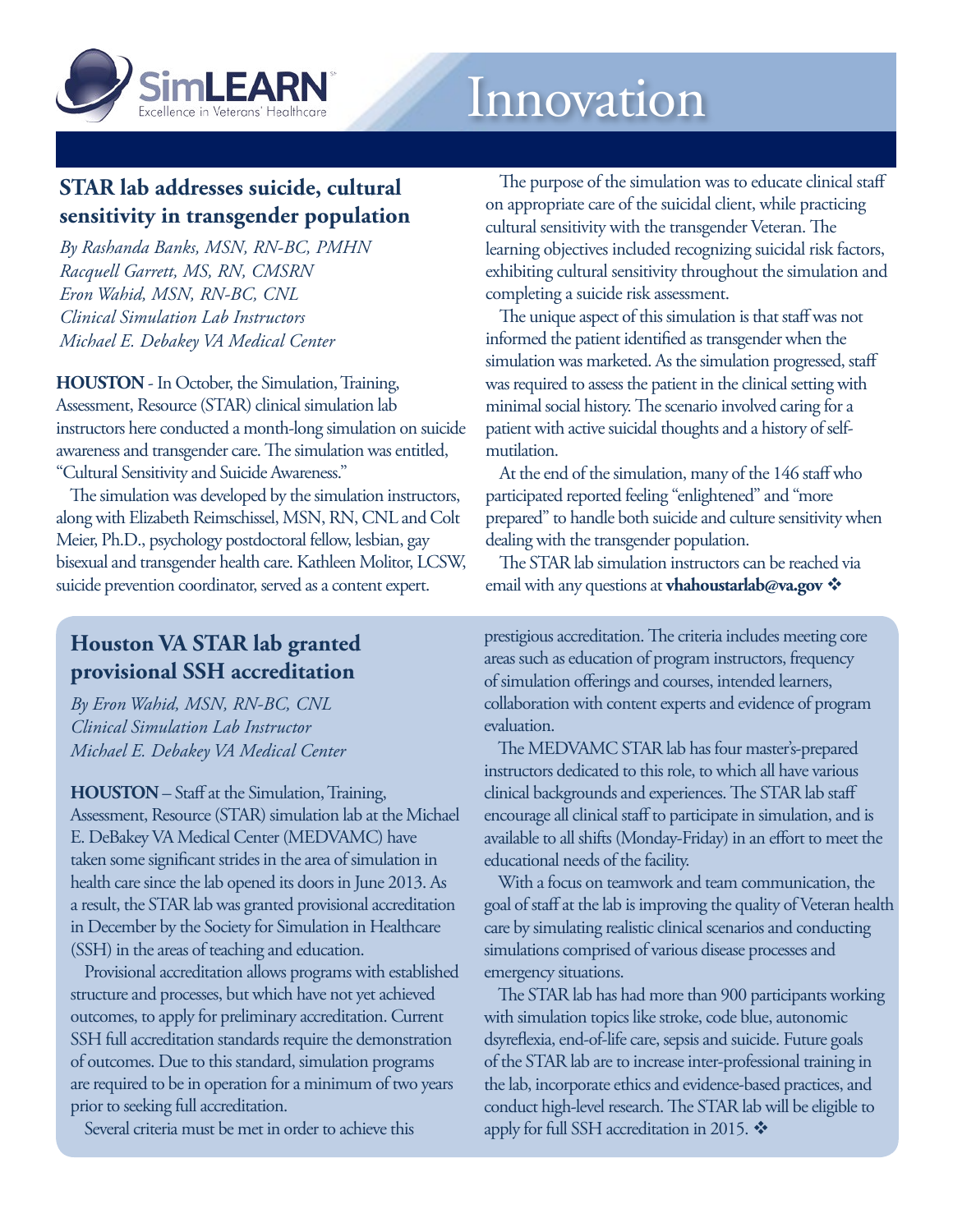<span id="page-3-0"></span>

## **STAR lab addresses suicide, cultural sensitivity in transgender population**

*By Rashanda Banks, MSN, RN-BC, PMHN Racquell Garrett, MS, RN, CMSRN Eron Wahid, MSN, RN-BC, CNL Clinical Simulation Lab Instructors Michael E. Debakey VA Medical Center*

**HOUSTON** - In October, the Simulation, Training, Assessment, Resource (STAR) clinical simulation lab instructors here conducted a month-long simulation on suicide awareness and transgender care. The simulation was entitled, "Cultural Sensitivity and Suicide Awareness."

The simulation was developed by the simulation instructors, along with Elizabeth Reimschissel, MSN, RN, CNL and Colt Meier, Ph.D., psychology postdoctoral fellow, lesbian, gay bisexual and transgender health care. Kathleen Molitor, LCSW, suicide prevention coordinator, served as a content expert.

**Houston VA STAR lab granted provisional SSH accreditation** 

*By Eron Wahid, MSN, RN-BC, CNL Clinical Simulation Lab Instructor Michael E. Debakey VA Medical Center*

**HOUSTON** – Staff at the Simulation, Training, Assessment, Resource (STAR) simulation lab at the Michael E. DeBakey VA Medical Center (MEDVAMC) have taken some significant strides in the area of simulation in health care since the lab opened its doors in June 2013. As a result, the STAR lab was granted provisional accreditation in December by the Society for Simulation in Healthcare (SSH) in the areas of teaching and education.

Provisional accreditation allows programs with established structure and processes, but which have not yet achieved outcomes, to apply for preliminary accreditation. Current SSH full accreditation standards require the demonstration of outcomes. Due to this standard, simulation programs are required to be in operation for a minimum of two years prior to seeking full accreditation.

Several criteria must be met in order to achieve this

The purpose of the simulation was to educate clinical staff on appropriate care of the suicidal client, while practicing cultural sensitivity with the transgender Veteran. The learning objectives included recognizing suicidal risk factors, exhibiting cultural sensitivity throughout the simulation and completing a suicide risk assessment.

The unique aspect of this simulation is that staff was not informed the patient identified as transgender when the simulation was marketed. As the simulation progressed, staff was required to assess the patient in the clinical setting with minimal social history. The scenario involved caring for a patient with active suicidal thoughts and a history of selfmutilation.

At the end of the simulation, many of the 146 staff who participated reported feeling "enlightened" and "more prepared" to handle both suicide and culture sensitivity when dealing with the transgender population.

The STAR lab simulation instructors can be reached via email with any questions at **[vhahoustarlab@va.gov](mailto:vhahoustarlab%40va.gov?subject=Question)** 

prestigious accreditation. The criteria includes meeting core areas such as education of program instructors, frequency of simulation offerings and courses, intended learners, collaboration with content experts and evidence of program evaluation.

The MEDVAMC STAR lab has four master's-prepared instructors dedicated to this role, to which all have various clinical backgrounds and experiences. The STAR lab staff encourage all clinical staff to participate in simulation, and is available to all shifts (Monday-Friday) in an effort to meet the educational needs of the facility.

With a focus on teamwork and team communication, the goal of staff at the lab is improving the quality of Veteran health care by simulating realistic clinical scenarios and conducting simulations comprised of various disease processes and emergency situations.

The STAR lab has had more than 900 participants working with simulation topics like stroke, code blue, autonomic dsyreflexia, end-of-life care, sepsis and suicide. Future goals of the STAR lab are to increase inter-professional training in the lab, incorporate ethics and evidence-based practices, and conduct high-level research. The STAR lab will be eligible to apply for full SSH accreditation in 2015.  $\clubsuit$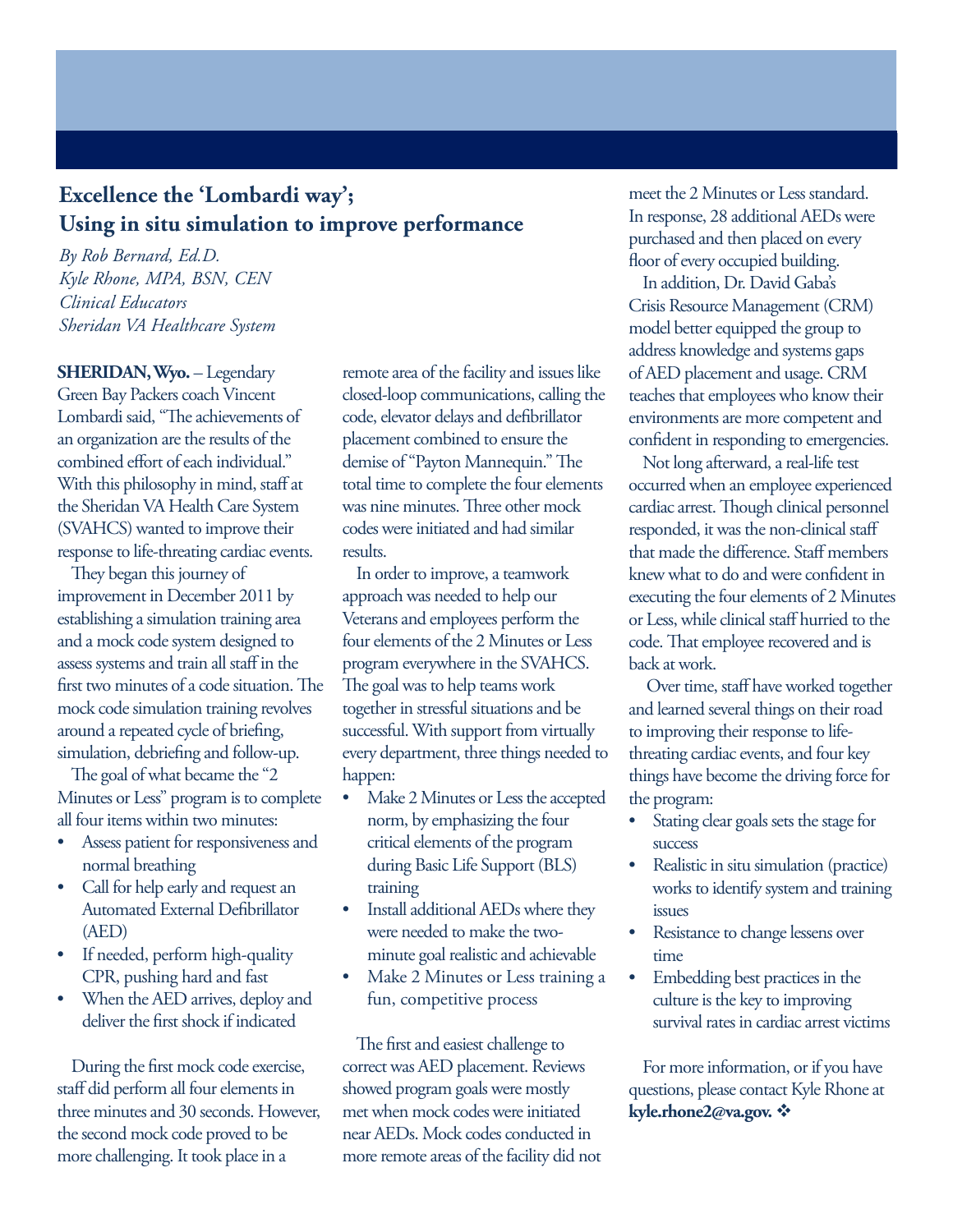#### <span id="page-4-0"></span>**Excellence the 'Lombardi way'; Using in situ simulation to improve performance**

*By Rob Bernard, Ed.D. Kyle Rhone, MPA, BSN, CEN Clinical Educators Sheridan VA Healthcare System*

**SHERIDAN, Wyo.** – Legendary Green Bay Packers coach Vincent Lombardi said, "The achievements of an organization are the results of the combined effort of each individual." With this philosophy in mind, staff at the Sheridan VA Health Care System (SVAHCS) wanted to improve their response to life-threating cardiac events.

They began this journey of improvement in December 2011 by establishing a simulation training area and a mock code system designed to assess systems and train all staff in the first two minutes of a code situation. The mock code simulation training revolves around a repeated cycle of briefing, simulation, debriefing and follow-up.

The goal of what became the "2" Minutes or Less" program is to complete all four items within two minutes:

- Assess patient for responsiveness and normal breathing
- Call for help early and request an Automated External Defibrillator (AED)
- If needed, perform high-quality CPR, pushing hard and fast
- When the AED arrives, deploy and deliver the first shock if indicated

During the first mock code exercise, staff did perform all four elements in three minutes and 30 seconds. However, the second mock code proved to be more challenging. It took place in a

remote area of the facility and issues like closed-loop communications, calling the code, elevator delays and defibrillator placement combined to ensure the demise of "Payton Mannequin." The total time to complete the four elements was nine minutes. Three other mock codes were initiated and had similar results.

In order to improve, a teamwork approach was needed to help our Veterans and employees perform the four elements of the 2 Minutes or Less program everywhere in the SVAHCS. The goal was to help teams work together in stressful situations and be successful. With support from virtually every department, three things needed to happen:

- Make 2 Minutes or Less the accepted norm, by emphasizing the four critical elements of the program during Basic Life Support (BLS) training
- Install additional AEDs where they were needed to make the twominute goal realistic and achievable
- Make 2 Minutes or Less training a fun, competitive process

The first and easiest challenge to correct was AED placement. Reviews showed program goals were mostly met when mock codes were initiated near AEDs. Mock codes conducted in more remote areas of the facility did not meet the 2 Minutes or Less standard. In response, 28 additional AEDs were purchased and then placed on every floor of every occupied building.

In addition, Dr. David Gaba's Crisis Resource Management (CRM) model better equipped the group to address knowledge and systems gaps of AED placement and usage. CRM teaches that employees who know their environments are more competent and confident in responding to emergencies.

Not long afterward, a real-life test occurred when an employee experienced cardiac arrest. Though clinical personnel responded, it was the non-clinical staff that made the difference. Staff members knew what to do and were confident in executing the four elements of 2 Minutes or Less, while clinical staff hurried to the code. That employee recovered and is back at work.

 Over time, staff have worked together and learned several things on their road to improving their response to lifethreating cardiac events, and four key things have become the driving force for the program:

- Stating clear goals sets the stage for success
- Realistic in situ simulation (practice) works to identify system and training issues
- Resistance to change lessens over time
- Embedding best practices in the culture is the key to improving survival rates in cardiac arrest victims

For more information, or if you have questions, please contact Kyle Rhone at **[kyle.rhone2@va.gov](mailto:kyle.rhone2%40va.gov?subject=Question).** v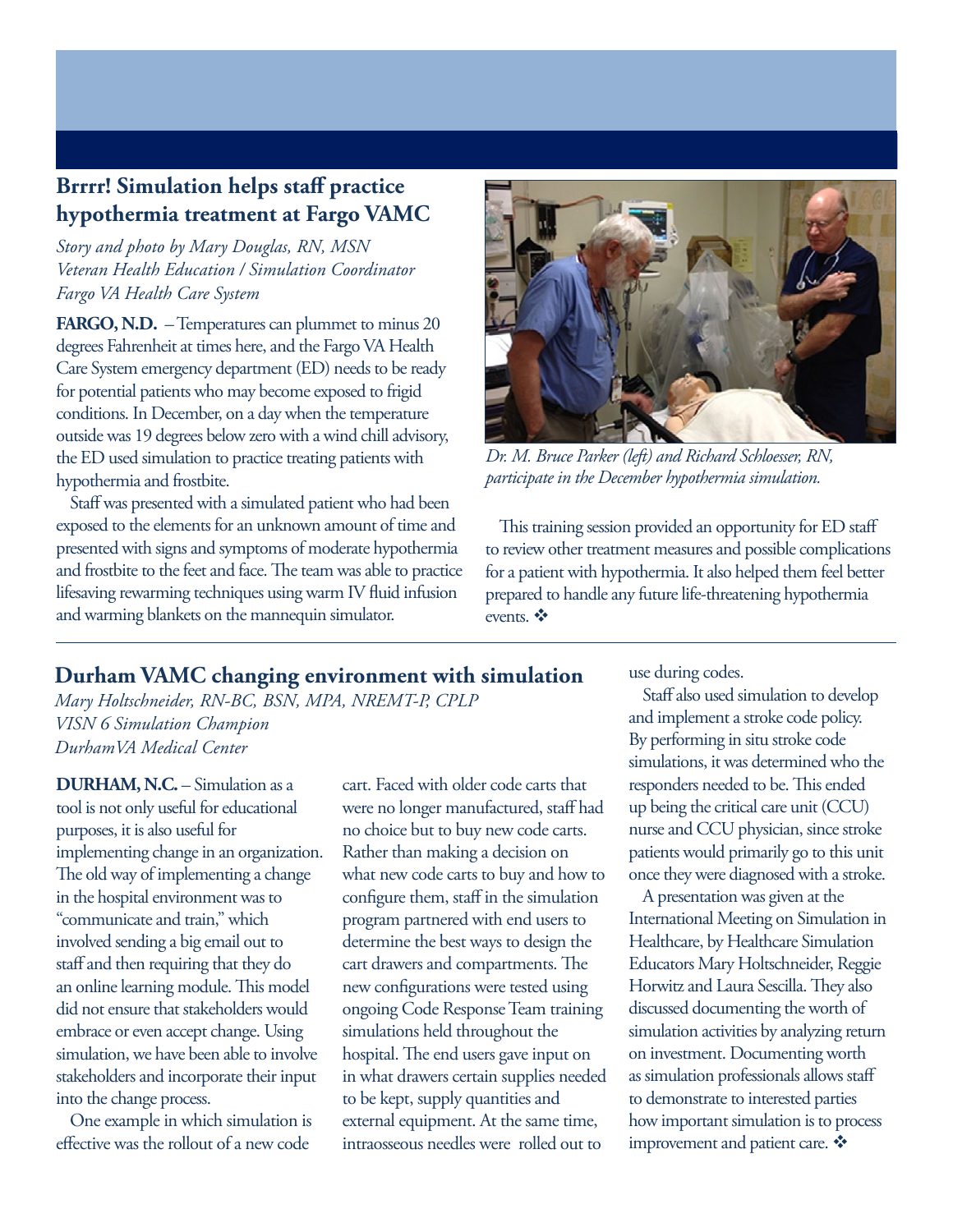#### <span id="page-5-0"></span>**Brrrr! Simulation helps staff practice hypothermia treatment at Fargo VAMC**

*Story and photo by Mary Douglas, RN, MSN Veteran Health Education / Simulation Coordinator Fargo VA Health Care System*

**FARGO, N.D.** – Temperatures can plummet to minus 20 degrees Fahrenheit at times here, and the Fargo VA Health Care System emergency department (ED) needs to be ready for potential patients who may become exposed to frigid conditions. In December, on a day when the temperature outside was 19 degrees below zero with a wind chill advisory, the ED used simulation to practice treating patients with hypothermia and frostbite.

Staff was presented with a simulated patient who had been exposed to the elements for an unknown amount of time and presented with signs and symptoms of moderate hypothermia and frostbite to the feet and face. The team was able to practice lifesaving rewarming techniques using warm IV fluid infusion and warming blankets on the mannequin simulator.



*Dr. M. Bruce Parker (left) and Richard Schloesser, RN, participate in the December hypothermia simulation.* 

This training session provided an opportunity for ED staff to review other treatment measures and possible complications for a patient with hypothermia. It also helped them feel better prepared to handle any future life-threatening hypothermia events.  $\ddot{\bullet}$ 

#### **Durham VAMC changing environment with simulation**

*Mary Holtschneider, RN-BC, BSN, MPA, NREMT-P, CPLP VISN 6 Simulation Champion DurhamVA Medical Center*

**DURHAM, N.C.** – Simulation as a tool is not only useful for educational purposes, it is also useful for implementing change in an organization. The old way of implementing a change in the hospital environment was to "communicate and train," which involved sending a big email out to staff and then requiring that they do an online learning module. This model did not ensure that stakeholders would embrace or even accept change. Using simulation, we have been able to involve stakeholders and incorporate their input into the change process.

One example in which simulation is effective was the rollout of a new code

cart. Faced with older code carts that were no longer manufactured, staff had no choice but to buy new code carts. Rather than making a decision on what new code carts to buy and how to configure them, staff in the simulation program partnered with end users to determine the best ways to design the cart drawers and compartments. The new configurations were tested using ongoing Code Response Team training simulations held throughout the hospital. The end users gave input on in what drawers certain supplies needed to be kept, supply quantities and external equipment. At the same time, intraosseous needles were rolled out to

use during codes.

Staff also used simulation to develop and implement a stroke code policy. By performing in situ stroke code simulations, it was determined who the responders needed to be. This ended up being the critical care unit (CCU) nurse and CCU physician, since stroke patients would primarily go to this unit once they were diagnosed with a stroke.

A presentation was given at the International Meeting on Simulation in Healthcare, by Healthcare Simulation Educators Mary Holtschneider, Reggie Horwitz and Laura Sescilla. They also discussed documenting the worth of simulation activities by analyzing return on investment. Documenting worth as simulation professionals allows staff to demonstrate to interested parties how important simulation is to process improvement and patient care.  $\mathbf{\hat{*}}$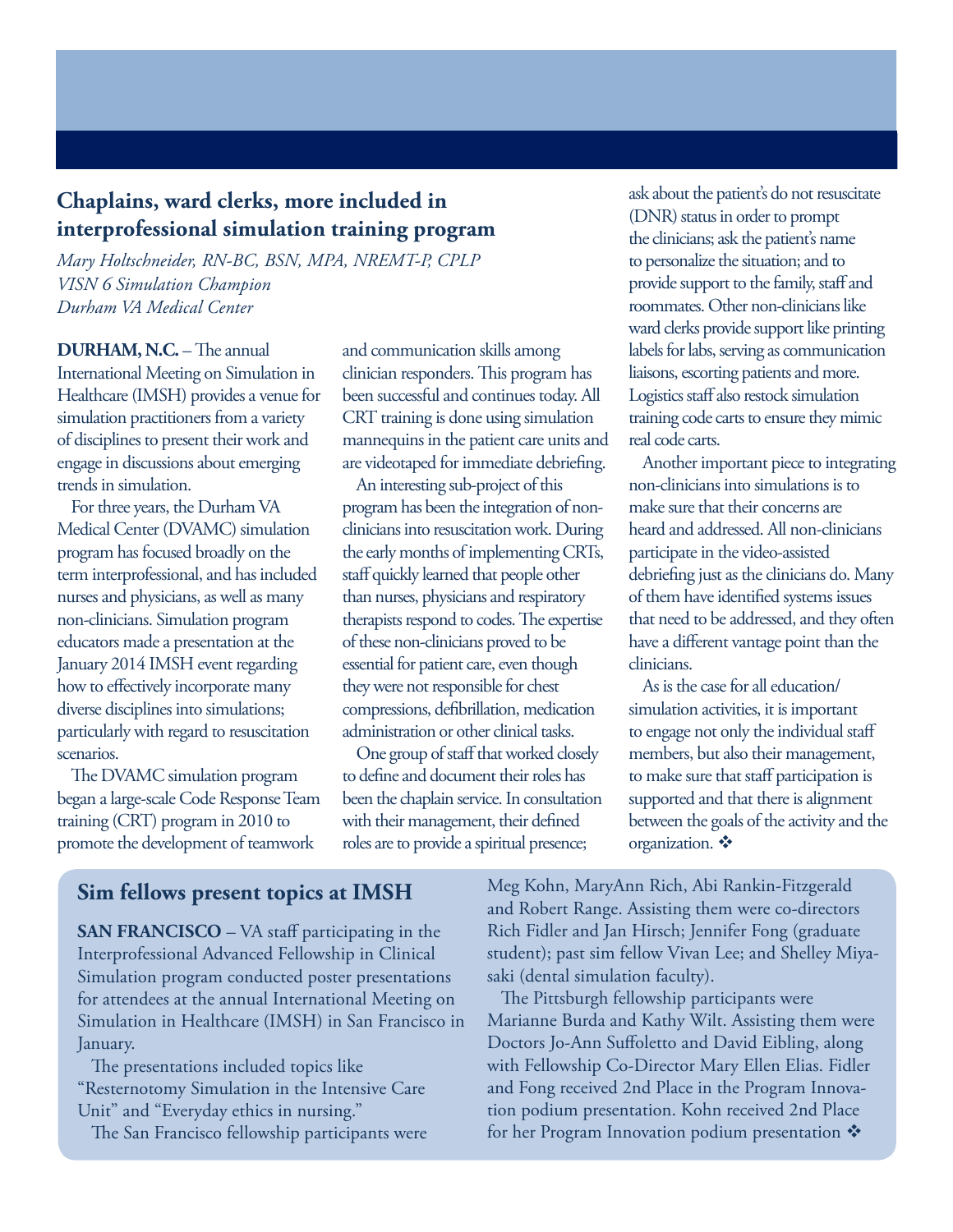#### <span id="page-6-0"></span>**Chaplains, ward clerks, more included in interprofessional simulation training program**

*Mary Holtschneider, RN-BC, BSN, MPA, NREMT-P, CPLP VISN 6 Simulation Champion Durham VA Medical Center*

**DURHAM, N.C.** – The annual International Meeting on Simulation in Healthcare (IMSH) provides a venue for simulation practitioners from a variety of disciplines to present their work and engage in discussions about emerging trends in simulation.

For three years, the Durham VA Medical Center (DVAMC) simulation program has focused broadly on the term interprofessional, and has included nurses and physicians, as well as many non-clinicians. Simulation program educators made a presentation at the January 2014 IMSH event regarding how to effectively incorporate many diverse disciplines into simulations; particularly with regard to resuscitation scenarios.

The DVAMC simulation program began a large-scale Code Response Team training (CRT) program in 2010 to promote the development of teamwork

and communication skills among clinician responders. This program has been successful and continues today. All CRT training is done using simulation mannequins in the patient care units and are videotaped for immediate debriefing.

An interesting sub-project of this program has been the integration of nonclinicians into resuscitation work. During the early months of implementing CRTs, staff quickly learned that people other than nurses, physicians and respiratory therapists respond to codes. The expertise of these non-clinicians proved to be essential for patient care, even though they were not responsible for chest compressions, defibrillation, medication administration or other clinical tasks.

One group of staff that worked closely to define and document their roles has been the chaplain service. In consultation with their management, their defined roles are to provide a spiritual presence;

ask about the patient's do not resuscitate (DNR) status in order to prompt the clinicians; ask the patient's name to personalize the situation; and to provide support to the family, staff and roommates. Other non-clinicians like ward clerks provide support like printing labels for labs, serving as communication liaisons, escorting patients and more. Logistics staff also restock simulation training code carts to ensure they mimic real code carts.

Another important piece to integrating non-clinicians into simulations is to make sure that their concerns are heard and addressed. All non-clinicians participate in the video-assisted debriefing just as the clinicians do. Many of them have identified systems issues that need to be addressed, and they often have a different vantage point than the clinicians.

As is the case for all education/ simulation activities, it is important to engage not only the individual staff members, but also their management, to make sure that staff participation is supported and that there is alignment between the goals of the activity and the organization.  $\mathbf{\dot{v}}$ 

#### **Sim fellows present topics at IMSH**

Simulation in Healthcare (IMSH) in San Francisco in **SAN FRANCISCO** – VA staff participating in the Interprofessional Advanced Fellowship in Clinical Simulation program conducted poster presentations for attendees at the annual International Meeting on January.

The presentations included topics like "Resternotomy Simulation in the Intensive Care Unit" and "Everyday ethics in nursing." The San Francisco fellowship participants were

- student); past sim fellow Vivan Lee; and Shelley Miya Meg Kohn, MaryAnn Rich, Abi Rankin-Fitzgerald and Robert Range. Assisting them were co-directors Rich Fidler and Jan Hirsch; Jennifer Fong (graduate saki (dental simulation faculty).

The Pittsburgh fellowship participants were Marianne Burda and Kathy Wilt. Assisting them were Doctors Jo-Ann Suffoletto and David Eibling, along with Fellowship Co-Director Mary Ellen Elias. Fidler and Fong received 2nd Place in the Program Innovation podium presentation. Kohn received 2nd Place for her Program Innovation podium presentation  $\mathbf{\hat{v}}$